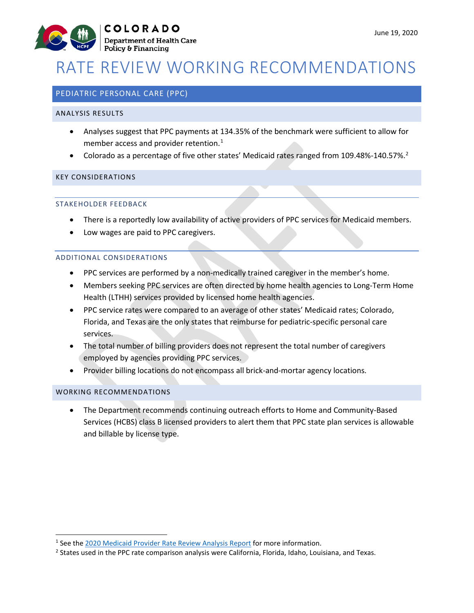

# RATE REVIEW WORKING RECOMMENDATIONS

# PEDIATRIC PERSONAL CARE (PPC)

#### ANALYSIS RESULTS

- Analyses suggest that PPC payments at 134.35% of the benchmark were sufficient to allow for member access and provider retention.<sup>[1](#page-0-0)</sup>
- Colorado as a percentage of five other states' Medicaid rates ranged from 109.48%-140.57%.<sup>[2](#page-0-1)</sup>

## KEY CONSIDERATIONS

## STAKEHOLDER FEEDBACK

- There is a reportedly low availability of active providers of PPC services for Medicaid members.
- Low wages are paid to PPC caregivers.

#### ADDITIONAL CONSIDERATIONS

- PPC services are performed by a non-medically trained caregiver in the member's home.
- Members seeking PPC services are often directed by home health agencies to Long-Term Home Health (LTHH) services provided by licensed home health agencies.
- PPC service rates were compared to an average of other states' Medicaid rates; Colorado, Florida, and Texas are the only states that reimburse for pediatric-specific personal care services.
- The total number of billing providers does not represent the total number of caregivers employed by agencies providing PPC services.
- Provider billing locations do not encompass all brick-and-mortar agency locations.

#### WORKING RECOMMENDATIONS

• The Department recommends continuing outreach efforts to Home and Community-Based Services (HCBS) class B licensed providers to alert them that PPC state plan services is allowable and billable by license type.

<span id="page-0-0"></span><sup>&</sup>lt;sup>1</sup> See the [2020 Medicaid Provider Rate Review Analysis Report](https://www.colorado.gov/pacific/sites/default/files/2020%20Medicaid%20Provider%20Rate%20Review%20Analysis%20Report.pdf) for more information.

<span id="page-0-1"></span><sup>&</sup>lt;sup>2</sup> States used in the PPC rate comparison analysis were California, Florida, Idaho, Louisiana, and Texas.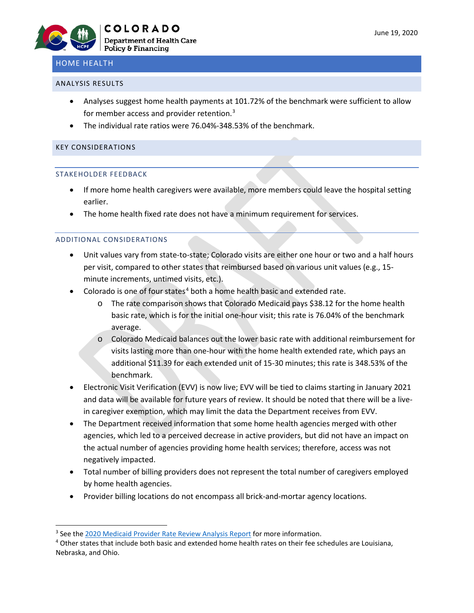

# HOME HEALTH

### ANALYSIS RESULTS

- Analyses suggest home health payments at 101.72% of the benchmark were sufficient to allow for member access and provider retention.<sup>[3](#page-1-0)</sup>
- The individual rate ratios were 76.04%-348.53% of the benchmark.

### KEY CONSIDERATIONS

#### STAKEHOLDER FEEDBACK

- If more home health caregivers were available, more members could leave the hospital setting earlier.
- The home health fixed rate does not have a minimum requirement for services.

## ADDITIONAL CONSIDERATIONS

- Unit values vary from state-to-state; Colorado visits are either one hour or two and a half hours per visit, compared to other states that reimbursed based on various unit values (e.g., 15 minute increments, untimed visits, etc.).
- Colorado is one of four states<sup>[4](#page-1-1)</sup> both a home health basic and extended rate.
	- o The rate comparison shows that Colorado Medicaid pays \$38.12 for the home health basic rate, which is for the initial one-hour visit; this rate is 76.04% of the benchmark average.
	- o Colorado Medicaid balances out the lower basic rate with additional reimbursement for visits lasting more than one-hour with the home health extended rate, which pays an additional \$11.39 for each extended unit of 15-30 minutes; this rate is 348.53% of the benchmark.
- Electronic Visit Verification (EVV) is now live; EVV will be tied to claims starting in January 2021 and data will be available for future years of review. It should be noted that there will be a livein caregiver exemption, which may limit the data the Department receives from EVV.
- The Department received information that some home health agencies merged with other agencies, which led to a perceived decrease in active providers, but did not have an impact on the actual number of agencies providing home health services; therefore, access was not negatively impacted.
- Total number of billing providers does not represent the total number of caregivers employed by home health agencies.
- Provider billing locations do not encompass all brick-and-mortar agency locations.

<span id="page-1-0"></span><sup>&</sup>lt;sup>3</sup> See the [2020 Medicaid Provider Rate Review Analysis Report](https://www.colorado.gov/pacific/sites/default/files/2020%20Medicaid%20Provider%20Rate%20Review%20Analysis%20Report.pdf) for more information.

<span id="page-1-1"></span><sup>4</sup> Other states that include both basic and extended home health rates on their fee schedules are Louisiana, Nebraska, and Ohio.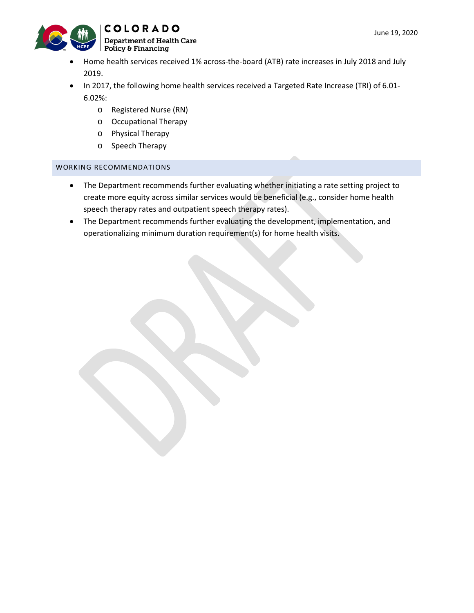

- Home health services received 1% across-the-board (ATB) rate increases in July 2018 and July 2019.
- In 2017, the following home health services received a Targeted Rate Increase (TRI) of 6.01- 6.02%:
	- o Registered Nurse (RN)
	- o Occupational Therapy
	- o Physical Therapy
	- o Speech Therapy

## WORKING RECOMMENDATIONS

- The Department recommends further evaluating whether initiating a rate setting project to create more equity across similar services would be beneficial (e.g., consider home health speech therapy rates and outpatient speech therapy rates).
- The Department recommends further evaluating the development, implementation, and operationalizing minimum duration requirement(s) for home health visits.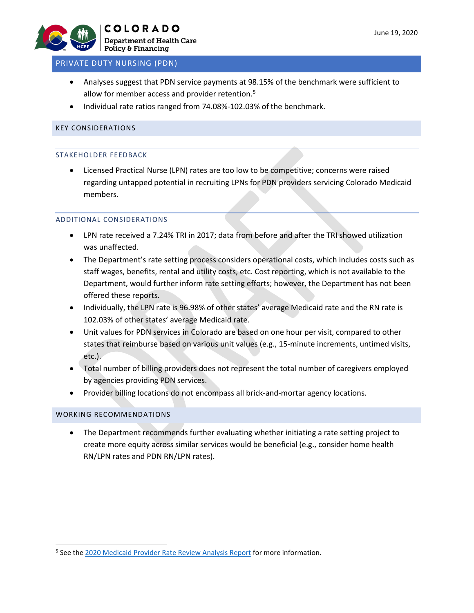

## PRIVATE DUTY NURSING (PDN)

- Analyses suggest that PDN service payments at 98.15% of the benchmark were sufficient to allow for member access and provider retention.<sup>[5](#page-3-0)</sup>
- Individual rate ratios ranged from 74.08%-102.03% of the benchmark.

## KEY CONSIDERATIONS

### STAKEHOLDER FEEDBACK

• Licensed Practical Nurse (LPN) rates are too low to be competitive; concerns were raised regarding untapped potential in recruiting LPNs for PDN providers servicing Colorado Medicaid members.

## ADDITIONAL CONSIDERATIONS

- LPN rate received a 7.24% TRI in 2017; data from before and after the TRI showed utilization was unaffected.
- The Department's rate setting process considers operational costs, which includes costs such as staff wages, benefits, rental and utility costs, etc. Cost reporting, which is not available to the Department, would further inform rate setting efforts; however, the Department has not been offered these reports.
- Individually, the LPN rate is 96.98% of other states' average Medicaid rate and the RN rate is 102.03% of other states' average Medicaid rate.
- Unit values for PDN services in Colorado are based on one hour per visit, compared to other states that reimburse based on various unit values (e.g., 15-minute increments, untimed visits, etc.).
- Total number of billing providers does not represent the total number of caregivers employed by agencies providing PDN services.
- Provider billing locations do not encompass all brick-and-mortar agency locations.

## WORKING RECOMMENDATIONS

• The Department recommends further evaluating whether initiating a rate setting project to create more equity across similar services would be beneficial (e.g., consider home health RN/LPN rates and PDN RN/LPN rates).

<span id="page-3-0"></span><sup>&</sup>lt;sup>5</sup> See the [2020 Medicaid Provider Rate Review Analysis Report](https://www.colorado.gov/pacific/sites/default/files/2020%20Medicaid%20Provider%20Rate%20Review%20Analysis%20Report.pdf) for more information.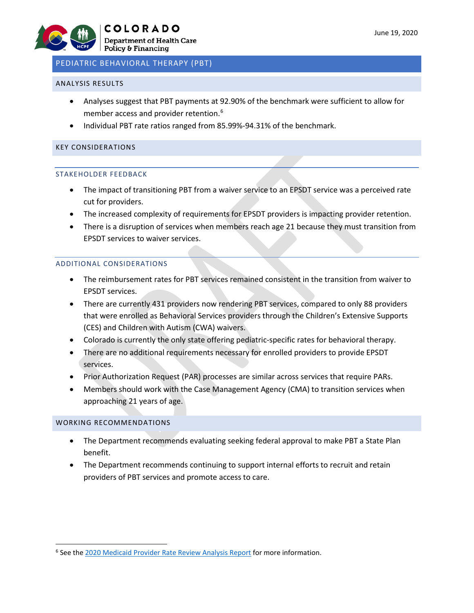#### ANALYSIS RESULTS

- Analyses suggest that PBT payments at 92.90% of the benchmark were sufficient to allow for member access and provider retention.<sup>[6](#page-4-0)</sup>
- Individual PBT rate ratios ranged from 85.99%-94.31% of the benchmark.

#### KEY CONSIDERATIONS

#### STAKEHOLDER FEEDBACK

- The impact of transitioning PBT from a waiver service to an EPSDT service was a perceived rate cut for providers.
- The increased complexity of requirements for EPSDT providers is impacting provider retention.
- There is a disruption of services when members reach age 21 because they must transition from EPSDT services to waiver services.

#### ADDITIONAL CONSIDERATIONS

- The reimbursement rates for PBT services remained consistent in the transition from waiver to EPSDT services.
- There are currently 431 providers now rendering PBT services, compared to only 88 providers that were enrolled as Behavioral Services providers through the Children's Extensive Supports (CES) and Children with Autism (CWA) waivers.
- Colorado is currently the only state offering pediatric-specific rates for behavioral therapy.
- There are no additional requirements necessary for enrolled providers to provide EPSDT services.
- Prior Authorization Request (PAR) processes are similar across services that require PARs.
- Members should work with the Case Management Agency (CMA) to transition services when approaching 21 years of age.

#### WORKING RECOMMENDATIONS

- The Department recommends evaluating seeking federal approval to make PBT a State Plan benefit.
- The Department recommends continuing to support internal efforts to recruit and retain providers of PBT services and promote access to care.

<span id="page-4-0"></span><sup>&</sup>lt;sup>6</sup> See the [2020 Medicaid Provider Rate Review Analysis Report](https://www.colorado.gov/pacific/sites/default/files/2020%20Medicaid%20Provider%20Rate%20Review%20Analysis%20Report.pdf) for more information.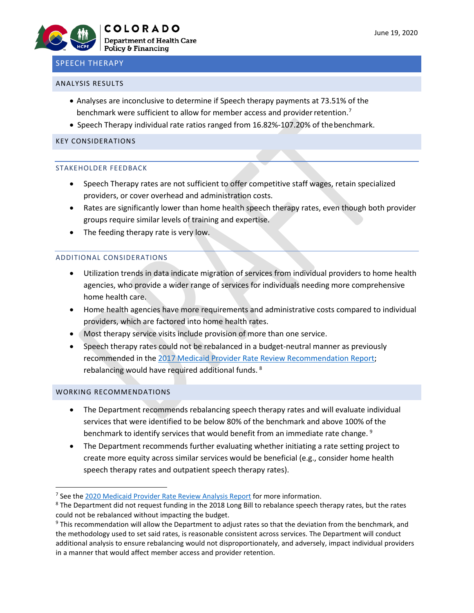# SPEECH THERAPY

#### ANALYSIS RESULTS

- Analyses are inconclusive to determine if Speech therapy payments at 73.51% of the benchmark were sufficient to allow for member access and provider retention.<sup>[7](#page-5-0)</sup>
- Speech Therapy individual rate ratios ranged from 16.82%-107.20% of thebenchmark.

#### KEY CONSIDERATIONS

#### STAKEHOLDER FEEDBACK

- Speech Therapy rates are not sufficient to offer competitive staff wages, retain specialized providers, or cover overhead and administration costs.
- Rates are significantly lower than home health speech therapy rates, even though both provider groups require similar levels of training and expertise.
- The feeding therapy rate is very low.

#### ADDITIONAL CONSIDERATIONS

- Utilization trends in data indicate migration of services from individual providers to home health agencies, who provide a wider range of services for individuals needing more comprehensive home health care.
- Home health agencies have more requirements and administrative costs compared to individual providers, which are factored into home health rates.
- Most therapy service visits include provision of more than one service.
- Speech therapy rates could not be rebalanced in a budget-neutral manner as previously recommended in the [2017 Medicaid Provider Rate Review Recommendation Report;](https://www.colorado.gov/pacific/sites/default/files/2017%20Medicaid%20Provider%20Rate%20Review%20Recommendation%20Report%20November%202017_0.pdf) rebalancing would have required additional funds. [8](#page-5-1)

#### WORKING RECOMMENDATIONS

- The Department recommends rebalancing speech therapy rates and will evaluate individual services that were identified to be below 80% of the benchmark and above 100% of the benchmark to identify services that would benefit from an immediate rate change.<sup>[9](#page-5-2)</sup>
- The Department recommends further evaluating whether initiating a rate setting project to create more equity across similar services would be beneficial (e.g., consider home health speech therapy rates and outpatient speech therapy rates).

<span id="page-5-0"></span><sup>&</sup>lt;sup>7</sup> See the [2020 Medicaid Provider Rate Review Analysis Report](https://www.colorado.gov/pacific/sites/default/files/2020%20Medicaid%20Provider%20Rate%20Review%20Analysis%20Report.pdf) for more information.

<span id="page-5-1"></span><sup>8</sup> The Department did not request funding in the 2018 Long Bill to rebalance speech therapy rates, but the rates could not be rebalanced without impacting the budget.<br><sup>9</sup> This recommendation will allow the Department to adjust rates so that the deviation from the benchmark, and

<span id="page-5-2"></span>the methodology used to set said rates, is reasonable consistent across services. The Department will conduct additional analysis to ensure rebalancing would not disproportionately, and adversely, impact individual providers in a manner that would affect member access and provider retention.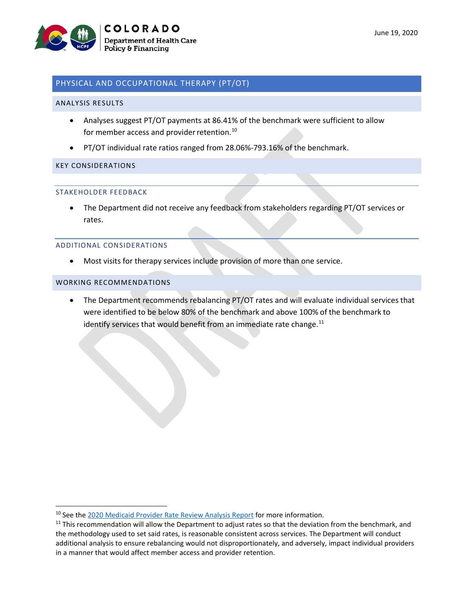

## PHYSICAL AND OCCUPATIONAL THERAPY (PT/OT)

#### ANALYSIS RESULTS

- Analyses suggest PT/OT payments at 86.41% of the benchmark were sufficient to allow for member access and provider retention.<sup>[10](#page-6-0)</sup>
- PT/OT individual rate ratios ranged from 28.06%-793.16% of the benchmark.

#### KEY CONSIDERATIONS

#### STAKEHOLDER FEEDBACK

• The Department did not receive any feedback from stakeholders regarding PT/OT services or rates.

#### ADDITIONAL CONSIDERATIONS

• Most visits for therapy services include provision of more than one service.

#### WORKING RECOMMENDATIONS

• The Department recommends rebalancing PT/OT rates and will evaluate individual services that were identified to be below 80% of the benchmark and above 100% of the benchmark to identify services that would benefit from an immediate rate change. $^{11}$  $^{11}$  $^{11}$ 

<span id="page-6-0"></span><sup>&</sup>lt;sup>10</sup> See th[e 2020 Medicaid Provider Rate Review Analysis Report](https://www.colorado.gov/pacific/sites/default/files/2020%20Medicaid%20Provider%20Rate%20Review%20Analysis%20Report.pdf) for more information.

<span id="page-6-1"></span> $11$  This recommendation will allow the Department to adjust rates so that the deviation from the benchmark, and the methodology used to set said rates, is reasonable consistent across services. The Department will conduct additional analysis to ensure rebalancing would not disproportionately, and adversely, impact individual providers in a manner that would affect member access and provider retention.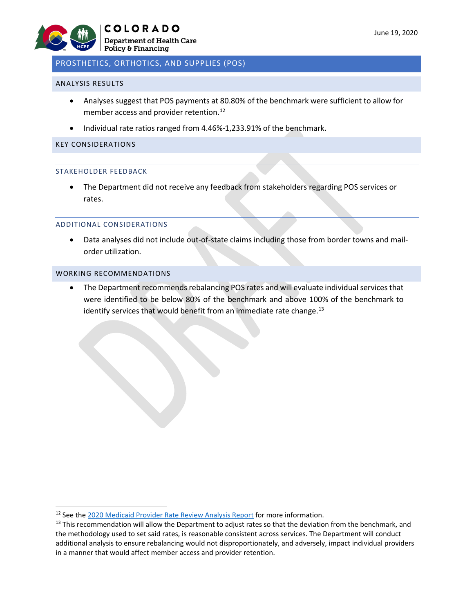

# PROSTHETICS, ORTHOTICS, AND SUPPLIES (POS)

#### ANALYSIS RESULTS

- Analyses suggest that POS payments at 80.80% of the benchmark were sufficient to allow for member access and provider retention.<sup>[12](#page-7-0)</sup>
- Individual rate ratios ranged from 4.46%-1,233.91% of the benchmark.

#### KEY CONSIDERATIONS

#### STAKEHOLDER FEEDBACK

• The Department did not receive any feedback from stakeholders regarding POS services or rates.

#### ADDITIONAL CONSIDERATIONS

• Data analyses did not include out-of-state claims including those from border towns and mailorder utilization.

## WORKING RECOMMENDATIONS

• The Department recommends rebalancing POS rates and will evaluate individual services that were identified to be below 80% of the benchmark and above 100% of the benchmark to identify services that would benefit from an immediate rate change. $13$ 

<span id="page-7-0"></span><sup>&</sup>lt;sup>12</sup> See th[e 2020 Medicaid Provider Rate Review Analysis Report](https://www.colorado.gov/pacific/sites/default/files/2020%20Medicaid%20Provider%20Rate%20Review%20Analysis%20Report.pdf) for more information.

<span id="page-7-1"></span><sup>&</sup>lt;sup>13</sup> This recommendation will allow the Department to adjust rates so that the deviation from the benchmark, and the methodology used to set said rates, is reasonable consistent across services. The Department will conduct additional analysis to ensure rebalancing would not disproportionately, and adversely, impact individual providers in a manner that would affect member access and provider retention.